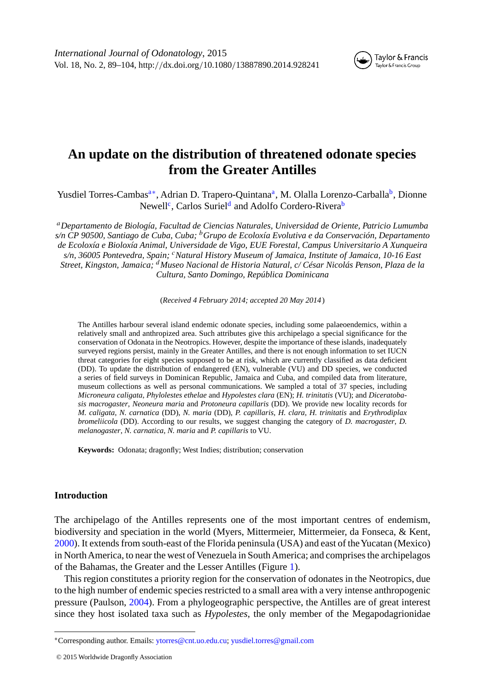

# **An update on the distribution of threatened odonate species from the Greater Antilles**

Yusdiel Torres-Cambas<sup>a∗</sup>, Adrian D. Trapero-Quintana<sup>a</sup>, M. Olalla Lorenzo-Carballa<sup>b</sup>, Dionne Newell<sup>c</sup>, Carlos Suriel<sup>d</sup> and Adolfo Cordero-Rivera<sup>b</sup>

*<sup>a</sup>Departamento de Biología, Facultad de Ciencias Naturales, Universidad de Oriente, Patricio Lumumba s/n CP 90500, Santiago de Cuba, Cuba; <sup>b</sup>Grupo de Ecoloxía Evolutiva e da Conservación, Departamento de Ecoloxía e Bioloxía Animal, Universidade de Vigo, EUE Forestal, Campus Universitario A Xunqueira s/n, 36005 Pontevedra, Spain; <sup>c</sup>Natural History Museum of Jamaica, Institute of Jamaica, 10-16 East Street, Kingston, Jamaica; <sup>d</sup>Museo Nacional de Historia Natural, c/ César Nicolás Penson, Plaza de la Cultura, Santo Domingo, República Dominicana*

(*Received 4 February 2014; accepted 20 May 2014* )

The Antilles harbour several island endemic odonate species, including some palaeoendemics, within a relatively small and anthropized area. Such attributes give this archipelago a special significance for the conservation of Odonata in the Neotropics. However, despite the importance of these islands, inadequately surveyed regions persist, mainly in the Greater Antilles, and there is not enough information to set IUCN threat categories for eight species supposed to be at risk, which are currently classified as data deficient (DD). To update the distribution of endangered (EN), vulnerable (VU) and DD species, we conducted a series of field surveys in Dominican Republic, Jamaica and Cuba, and compiled data from literature, museum collections as well as personal communications. We sampled a total of 37 species, including *Microneura caligata*, *Phylolestes ethelae* and *Hypolestes clara* (EN); *H. trinitatis* (VU); and *Diceratobasis macrogaster*, *Neoneura maria* and *Protoneura capillaris* (DD). We provide new locality records for *M. caligata*, *N. carnatica* (DD), *N. maria* (DD), *P. capillaris*, *H. clara*, *H. trinitatis* and *Erythrodiplax bromeliicola* (DD). According to our results, we suggest changing the category of *D. macrogaster*, *D. melanogaster*, *N. carnatica*, *N. maria* and *P. capillaris* to VU.

**Keywords:** Odonata; dragonfly; West Indies; distribution; conservation

# **Introduction**

The archipelago of the Antilles represents one of the most important centres of endemism, biodiversity and speciation in the world (Myers, Mittermeier, Mittermeier, da Fonseca, & Kent, [2000\)](#page-14-0). It extends from south-east of the Florida peninsula (USA) and east of theYucatan (Mexico) in NorthAmerica, to near the west of Venezuela in SouthAmerica; and comprises the archipelagos of the Bahamas, the Greater and the Lesser Antilles (Figure [1\)](#page-1-0).

This region constitutes a priority region for the conservation of odonates in the Neotropics, due to the high number of endemic species restricted to a small area with a very intense anthropogenic pressure (Paulson, [2004\)](#page-14-0). From a phylogeographic perspective, the Antilles are of great interest since they host isolated taxa such as *Hypolestes*, the only member of the Megapodagrionidae

<sup>∗</sup>Corresponding author. Emails: [ytorres@cnt.uo.edu.cu;](mailto:ytorres@cnt.uo.edu.cu) [yusdiel.torres@gmail.com](mailto:yusdiel.torres@gmail.com)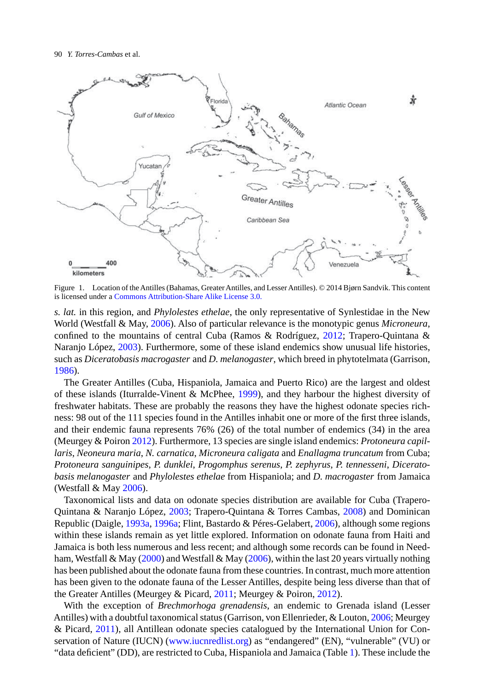<span id="page-1-0"></span>

Figure 1. Location of the Antilles (Bahamas, Greater Antilles, and Lesser Antilles). © 2014 Bjørn Sandvik. This content is licensed under a [Commons Attribution-Share Alike License 3.0.](http://creativecommons.org/licenses/by-sa/3.0/)

*s. lat.* in this region, and *Phylolestes ethelae*, the only representative of Synlestidae in the New World (Westfall & May, [2006\)](#page-15-0). Also of particular relevance is the monotypic genus *Microneura*, confined to the mountains of central Cuba (Ramos & Rodríguez, [2012;](#page-14-0) Trapero-Quintana & Naranjo López, [2003\)](#page-15-0). Furthermore, some of these island endemics show unusual life histories, such as *Diceratobasis macrogaster* and *D. melanogaster*, which breed in phytotelmata (Garrison, [1986\)](#page-14-0).

The Greater Antilles (Cuba, Hispaniola, Jamaica and Puerto Rico) are the largest and oldest of these islands (Iturralde-Vinent & McPhee, [1999\)](#page-14-0), and they harbour the highest diversity of freshwater habitats. These are probably the reasons they have the highest odonate species richness: 98 out of the 111 species found in the Antilles inhabit one or more of the first three islands, and their endemic fauna represents 76% (26) of the total number of endemics (34) in the area (Meurgey & Poiron [2012\)](#page-14-0). Furthermore, 13 species are single island endemics: *Protoneura capillaris*, *Neoneura maria*, *N. carnatica*, *Microneura caligata* and *Enallagma truncatum* from Cuba; *Protoneura sanguinipes*, *P. dunklei*, *Progomphus serenus*, *P. zephyrus*, *P. tennesseni*, *Diceratobasis melanogaster* and *Phylolestes ethelae* from Hispaniola; and *D. macrogaster* from Jamaica (Westfall  $&$  May [2006\)](#page-15-0).

Taxonomical lists and data on odonate species distribution are available for Cuba (Trapero-Quintana & Naranjo López, [2003;](#page-15-0) Trapero-Quintana & Torres Cambas, [2008\)](#page-15-0) and Dominican Republic (Daigle, [1993a,](#page-14-0) [1996a;](#page-14-0) Flint, Bastardo & Péres-Gelabert, [2006\)](#page-14-0), although some regions within these islands remain as yet little explored. Information on odonate fauna from Haiti and Jamaica is both less numerous and less recent; and although some records can be found in Needham, Westfall & May [\(2000\)](#page-14-0) and Westfall & May [\(2006\)](#page-15-0), within the last 20 years virtually nothing has been published about the odonate fauna from these countries. In contrast, much more attention has been given to the odonate fauna of the Lesser Antilles, despite being less diverse than that of the Greater Antilles (Meurgey & Picard, [2011;](#page-14-0) Meurgey & Poiron, [2012\)](#page-14-0).

With the exception of *Brechmorhoga grenadensis*, an endemic to Grenada island (Lesser Antilles) with a doubtful taxonomical status (Garrison, von Ellenrieder, & Louton, [2006;](#page-14-0) Meurgey & Picard, [2011\)](#page-14-0), all Antillean odonate species catalogued by the International Union for Conservation of Nature (IUCN) [\(www.iucnredlist.org\)](file:www.iucnredlist.org) as "endangered" (EN), "vulnerable" (VU) or "data deficient" (DD), are restricted to Cuba, Hispaniola and Jamaica (Table [1\)](#page-2-0). These include the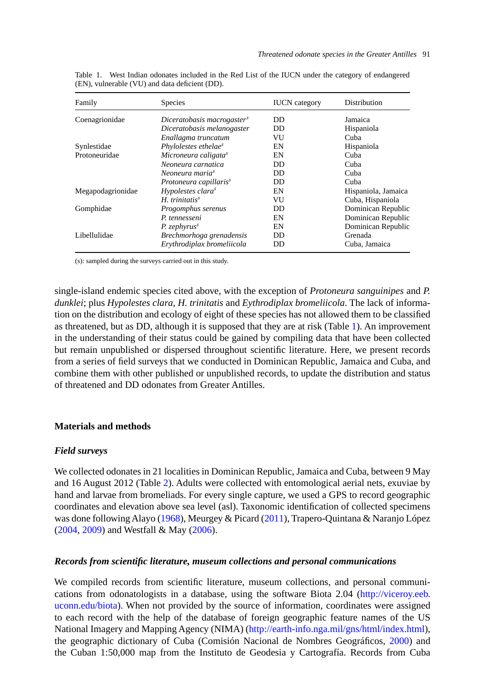| Family            | <b>Species</b>                         | <b>IUCN</b> category | Distribution        |
|-------------------|----------------------------------------|----------------------|---------------------|
| Coenagrionidae    | Diceratobasis macrogaster <sup>s</sup> | DD                   | Jamaica             |
|                   | Diceratobasis melanogaster             | DD                   | Hispaniola          |
|                   | Enallagma truncatum                    | VU                   | Cuba                |
| Synlestidae       | Phylolestes ethelae <sup>s</sup>       | EN                   | Hispaniola          |
| Protoneuridae     | Microneura caligata <sup>s</sup>       | EN                   | Cuba                |
|                   | Neoneura carnatica                     | DD                   | Cuba                |
|                   | Neoneura maria <sup>s</sup>            | DD                   | Cuba                |
|                   | Protoneura capillaris <sup>s</sup>     | DD                   | Cuba                |
| Megapodagrionidae | Hypolestes clara <sup>s</sup>          | EN                   | Hispaniola, Jamaica |
|                   | $H.$ trinitatis <sup>s</sup>           | VU                   | Cuba, Hispaniola    |
| Gomphidae         | Progomphus serenus                     | DD                   | Dominican Republic  |
|                   | P. tennesseni                          | EN                   | Dominican Republic  |
|                   | P. zephyrus <sup>s</sup>               | EN                   | Dominican Republic  |
| Libellulidae      | Brechmorhoga grenadensis               | DD                   | Grenada             |
|                   | Erythrodiplax bromeliicola             | DD                   | Cuba, Jamaica       |

<span id="page-2-0"></span>Table 1. West Indian odonates included in the Red List of the IUCN under the category of endangered (EN), vulnerable (VU) and data deficient (DD).

(s): sampled during the surveys carried out in this study.

single-island endemic species cited above, with the exception of *Protoneura sanguinipes* and *P. dunklei*; plus *Hypolestes clara*, *H. trinitatis* and *Eythrodiplax bromeliicola*. The lack of information on the distribution and ecology of eight of these species has not allowed them to be classified as threatened, but as DD, although it is supposed that they are at risk (Table 1). An improvement in the understanding of their status could be gained by compiling data that have been collected but remain unpublished or dispersed throughout scientific literature. Here, we present records from a series of field surveys that we conducted in Dominican Republic, Jamaica and Cuba, and combine them with other published or unpublished records, to update the distribution and status of threatened and DD odonates from Greater Antilles.

# **Materials and methods**

#### *Field surveys*

We collected odonates in 21 localities in Dominican Republic, Jamaica and Cuba, between 9 May and 16 August 2012 (Table [2\)](#page-3-0). Adults were collected with entomological aerial nets, exuviae by hand and larvae from bromeliads. For every single capture, we used a GPS to record geographic coordinates and elevation above sea level (asl). Taxonomic identification of collected specimens was done following Alayo [\(1968\)](#page-13-0), Meurgey & Picard [\(2011\)](#page-14-0), Trapero-Quintana & Naranjo López [\(2004,](#page-15-0) [2009\)](#page-14-0) and Westfall & May [\(2006\)](#page-15-0).

#### *Records from scientific literature, museum collections and personal communications*

We compiled records from scientific literature, museum collections, and personal communications from odonatologists in a database, using the software Biota 2.04 [\(http://viceroy.eeb.](http://viceroy.eeb.uconn.edu/biota) [uconn.edu/biota\)](http://viceroy.eeb.uconn.edu/biota). When not provided by the source of information, coordinates were assigned to each record with the help of the database of foreign geographic feature names of the US National Imagery and Mapping Agency (NIMA) [\(http://earth-info.nga.mil/gns/html/index.html\)](http://earth-info.nga.mil/gns/html/index.html), the geographic dictionary of Cuba (Comisión Nacional de Nombres Geográficos, [2000\)](#page-13-0) and the Cuban 1:50,000 map from the Instituto de Geodesia y Cartografía. Records from Cuba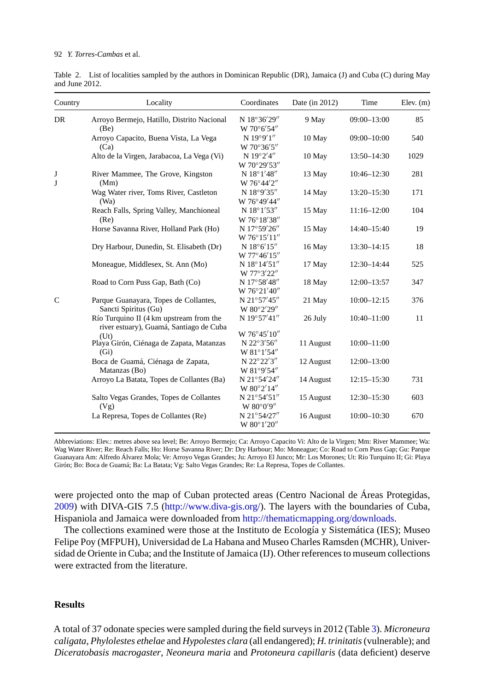#### <span id="page-3-0"></span>92 *Y. Torres-Cambas* et al.

| Country                                                           | Locality                                                                           | Coordinates                            | Date (in 2012) | Time            | Elev. $(m)$ |
|-------------------------------------------------------------------|------------------------------------------------------------------------------------|----------------------------------------|----------------|-----------------|-------------|
| DR                                                                | Arroyo Bermejo, Hatillo, Distrito Nacional                                         | N 18°36'29"<br>$W 70^{\circ}6'54''$    | 9 May          | $09:00 - 13:00$ | 85          |
|                                                                   | Arroyo Capacito, Buena Vista, La Vega                                              | N $19°9'1''$<br>$W 70^{\circ}36'5''$   | 10 May         | $09:00 - 10:00$ | 540         |
|                                                                   | Alto de la Virgen, Jarabacoa, La Vega (Vi)                                         | N $19^{\circ}2'4''$<br>W 70°29'53"     | 10 May         | $13:50 - 14:30$ | 1029        |
| J                                                                 | River Mammee, The Grove, Kingston<br>(Mm)                                          | N $18^{\circ}1'48''$<br>W 76°44'2"     | 13 May         | 10:46-12:30     | 281         |
|                                                                   | Wag Water river, Toms River, Castleton                                             | N $18°9'35''$<br>W 76°49'44"           | 14 May         | 13:20-15:30     | 171         |
|                                                                   | Reach Falls, Spring Valley, Manchioneal<br>(Re)                                    | N 18°1'53"<br>W 76°18′38″              | 15 May         | 11:16-12:00     | 104         |
| (Be)<br>(Ca)<br>J<br>(Wa)<br>$\mathsf{C}$<br>(Ut)<br>(Gi)<br>(Vg) | Horse Savanna River, Holland Park (Ho)                                             | N $17^{\circ}59'26''$<br>W 76°15'11"   | 15 May         | $14:40 - 15:40$ | 19          |
|                                                                   | Dry Harbour, Dunedin, St. Elisabeth (Dr)                                           | N 18°6'15"<br>W 77°46'15"              | 16 May         | $13:30 - 14:15$ | 18          |
|                                                                   | Moneague, Middlesex, St. Ann (Mo)                                                  | $N 18^{\circ} 14' 51''$<br>W 77°3'22"  | 17 May         | $12:30 - 14:44$ | 525         |
|                                                                   | Road to Corn Puss Gap, Bath (Co)                                                   | N 17°58'48"<br>W 76°21'40"             | 18 May         | 12:00-13:57     | 347         |
|                                                                   | Parque Guanayara, Topes de Collantes,<br>Sancti Spiritus (Gu)                      | N 21°57'45"<br>W 80°2'29"              | 21 May         | $10:00 - 12:15$ | 376         |
|                                                                   | Río Turquino II (4 km upstream from the<br>river estuary), Guamá, Santiago de Cuba | N 19°57'41"                            | 26 July        | $10:40 - 11:00$ | 11          |
|                                                                   | Playa Girón, Ciénaga de Zapata, Matanzas                                           | W 76°45'10"<br>N $22^{\circ}3'56''$    | 11 August      | $10:00 - 11:00$ |             |
|                                                                   | Boca de Guamá, Ciénaga de Zapata,<br>Matanzas (Bo)                                 | W 81°1'54"<br>N 22°22′3″<br>W 81°9'54" | 12 August      | $12:00 - 13:00$ |             |
|                                                                   | Arroyo La Batata, Topes de Collantes (Ba)                                          | N 21°54'24"<br>W 80°2'14"              | 14 August      | $12:15 - 15:30$ | 731         |
|                                                                   | Salto Vegas Grandes, Topes de Collantes                                            | N 21°54'51"<br>W 80°0'9''              | 15 August      | $12:30 - 15:30$ | 603         |
|                                                                   | La Represa, Topes de Collantes (Re)                                                | N 21°54/27"<br>W 80°1'20"              | 16 August      | 10:00-10:30     | 670         |

Table 2. List of localities sampled by the authors in Dominican Republic (DR), Jamaica (J) and Cuba (C) during May and June 2012.

Abbreviations: Elev.: metres above sea level; Be: Arroyo Bermejo; Ca: Arroyo Capacito Vi: Alto de la Virgen; Mm: River Mammee; Wa: Wag Water River; Re: Reach Falls; Ho: Horse Savanna River; Dr: Dry Harbour; Mo: Moneague; Co: Road to Corn Puss Gap; Gu: Parque Guanayara Am: Alfredo Álvarez Mola; Ve: Arroyo Vegas Grandes; Ju: Arroyo El Junco; Mr: Los Morones; Ut: Río Turquino II; Gi: Playa Girón; Bo: Boca de Guamá; Ba: La Batata; Vg: Salto Vegas Grandes; Re: La Represa, Topes de Collantes.

were projected onto the map of Cuban protected areas (Centro Nacional de Áreas Protegidas, [2009\)](#page-13-0) with DIVA-GIS 7.5 [\(http://www.diva-gis.org/\)](http://www.diva-gis.org/). The layers with the boundaries of Cuba, Hispaniola and Jamaica were downloaded from [http://thematicmapping.org/downloads.](http://thematicmapping.org/downloads)

The collections examined were those at the Instituto de Ecología y Sistemática (IES); Museo Felipe Poy (MFPUH), Universidad de La Habana and Museo Charles Ramsden (MCHR), Universidad de Oriente in Cuba; and the Institute of Jamaica (IJ). Other references to museum collections were extracted from the literature.

#### **Results**

A total of 37 odonate species were sampled during the field surveys in 2012 (Table [3\)](#page-4-0). *Microneura caligata*, *Phylolestes ethelae* and *Hypolestes clara* (all endangered); *H. trinitatis*(vulnerable); and *Diceratobasis macrogaster*, *Neoneura maria* and *Protoneura capillaris* (data deficient) deserve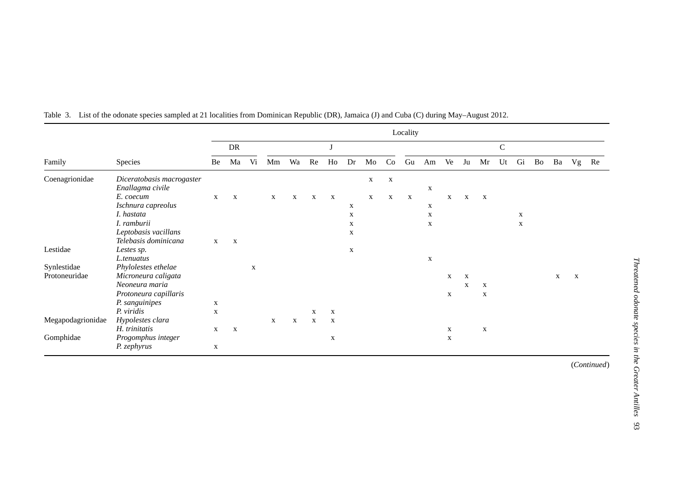|                   |                           | Locality |             |    |             |             |             |              |             |             |              |    |             |             |    |             |              |    |    |    |              |    |
|-------------------|---------------------------|----------|-------------|----|-------------|-------------|-------------|--------------|-------------|-------------|--------------|----|-------------|-------------|----|-------------|--------------|----|----|----|--------------|----|
|                   |                           |          | DR          |    |             |             |             |              |             |             |              |    |             |             |    |             | $\mathsf{C}$ |    |    |    |              |    |
| Family            | Species                   | Be       | Ma          | Vi | Mm          | Wa          | Re          | Ho           | Dr          | Mo          | Co           | Gu | Am          | Ve          | Ju | Mr          | Ut           | Gi | Bo | Ba | Vg           | Re |
| Coenagrionidae    | Diceratobasis macrogaster |          |             |    |             |             |             |              |             | $\mathbf X$ | $\mathbf{x}$ |    |             |             |    |             |              |    |    |    |              |    |
|                   | Enallagma civile          |          |             |    |             |             |             |              |             |             |              |    | X           |             |    |             |              |    |    |    |              |    |
|                   | E. coecum                 | X        | X           |    | $\mathbf x$ | X           | X           | $\mathbf{x}$ |             | X           | $\mathbf x$  | X  |             | X           | X  | X           |              |    |    |    |              |    |
|                   | Ischnura capreolus        |          |             |    |             |             |             |              | X           |             |              |    | X           |             |    |             |              |    |    |    |              |    |
|                   | I. hastata                |          |             |    |             |             |             |              | X           |             |              |    | X           |             |    |             |              | X  |    |    |              |    |
|                   | I. ramburii               |          |             |    |             |             |             |              | X           |             |              |    | X           |             |    |             |              | X  |    |    |              |    |
|                   | Leptobasis vacillans      |          |             |    |             |             |             |              | X           |             |              |    |             |             |    |             |              |    |    |    |              |    |
|                   | Telebasis dominicana      | X        | $\mathbf X$ |    |             |             |             |              |             |             |              |    |             |             |    |             |              |    |    |    |              |    |
| Lestidae          | Lestes sp.                |          |             |    |             |             |             |              | $\mathbf X$ |             |              |    |             |             |    |             |              |    |    |    |              |    |
|                   | L.tenuatus                |          |             |    |             |             |             |              |             |             |              |    | $\mathbf X$ |             |    |             |              |    |    |    |              |    |
| Synlestidae       | Phylolestes ethelae       |          |             | X  |             |             |             |              |             |             |              |    |             |             |    |             |              |    |    |    |              |    |
| Protoneuridae     | Microneura caligata       |          |             |    |             |             |             |              |             |             |              |    |             | X           | X  |             |              |    |    | X  | $\mathbf{x}$ |    |
|                   | Neoneura maria            |          |             |    |             |             |             |              |             |             |              |    |             |             | X  | X           |              |    |    |    |              |    |
|                   | Protoneura capillaris     |          |             |    |             |             |             |              |             |             |              |    |             | X           |    | X           |              |    |    |    |              |    |
|                   | P. sanguinipes            | X        |             |    |             |             |             |              |             |             |              |    |             |             |    |             |              |    |    |    |              |    |
|                   | P. viridis                | X        |             |    |             |             | X           | X            |             |             |              |    |             |             |    |             |              |    |    |    |              |    |
| Megapodagrionidae | Hypolestes clara          |          |             |    | $\mathbf X$ | $\mathbf X$ | $\mathbf x$ | $\mathbf{x}$ |             |             |              |    |             |             |    |             |              |    |    |    |              |    |
|                   | H. trinitatis             | X        | $\mathbf X$ |    |             |             |             |              |             |             |              |    |             | X           |    | $\mathbf X$ |              |    |    |    |              |    |
| Gomphidae         | Progomphus integer        |          |             |    |             |             |             | $\mathbf X$  |             |             |              |    |             | $\mathbf X$ |    |             |              |    |    |    |              |    |
|                   | P. zephyrus               | X        |             |    |             |             |             |              |             |             |              |    |             |             |    |             |              |    |    |    |              |    |

<span id="page-4-0"></span>Table 3. List of the odonate species sampled at 21 localities from Dominican Republic (DR), Jamaica (J) and Cuba (C) during May–August 2012.

(*Continued*)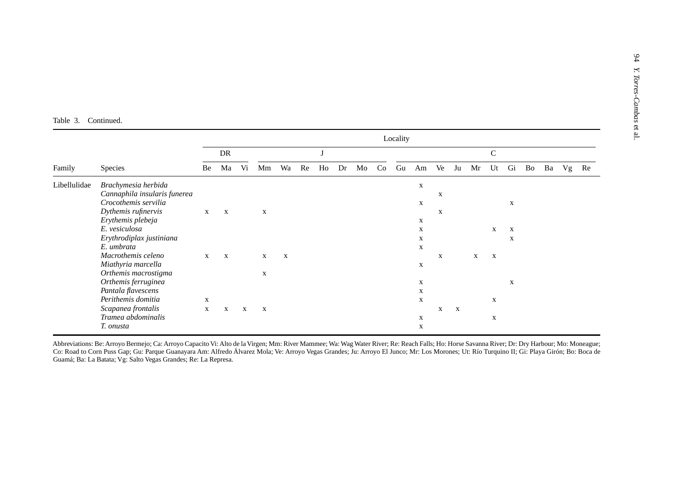# *Y. Torres-Cambas*Table 3. Continued.Table 3. Continued.

|              |                              | Locality     |              |    |              |              |    |    |    |    |    |    |    |    |    |    |              |                           |    |    |    |    |
|--------------|------------------------------|--------------|--------------|----|--------------|--------------|----|----|----|----|----|----|----|----|----|----|--------------|---------------------------|----|----|----|----|
|              |                              |              | DR           |    |              |              |    |    |    |    |    |    |    |    |    |    | $\mathsf{C}$ |                           |    |    |    |    |
| Family       | <b>Species</b>               | Be           | Ma           | Vi | Mm           | Wa           | Re | Ho | Dr | Mo | Co | Gu | Am | Ve | Ju | Mr | Ut           | Gi                        | Bo | Ba | Vg | Re |
| Libellulidae | Brachymesia herbida          |              |              |    |              |              |    |    |    |    |    |    | X  |    |    |    |              |                           |    |    |    |    |
|              | Cannaphila insularis funerea |              |              |    |              |              |    |    |    |    |    |    |    | X  |    |    |              |                           |    |    |    |    |
|              | Crocothemis servilia         |              |              |    |              |              |    |    |    |    |    |    | X  |    |    |    |              | $\mathbf X$               |    |    |    |    |
|              | Dythemis rufinervis          | $\mathbf{X}$ | $\mathbf{x}$ |    | X            |              |    |    |    |    |    |    |    | X  |    |    |              |                           |    |    |    |    |
|              | Erythemis plebeja            |              |              |    |              |              |    |    |    |    |    |    | X  |    |    |    |              |                           |    |    |    |    |
|              | E. vesiculosa                |              |              |    |              |              |    |    |    |    |    |    | X  |    |    |    | X            | $\boldsymbol{\mathrm{X}}$ |    |    |    |    |
|              | Erythrodiplax justiniana     |              |              |    |              |              |    |    |    |    |    |    | X  |    |    |    |              | X                         |    |    |    |    |
|              | E. umbrata                   |              |              |    |              |              |    |    |    |    |    |    | X  |    |    |    |              |                           |    |    |    |    |
|              | Macrothemis celeno           | $\mathbf{x}$ | $\mathbf{x}$ |    | $\mathbf{x}$ | $\mathbf{x}$ |    |    |    |    |    |    |    | X  |    | X  | $\mathbf X$  |                           |    |    |    |    |
|              | Miathyria marcella           |              |              |    |              |              |    |    |    |    |    |    | X  |    |    |    |              |                           |    |    |    |    |
|              | Orthemis macrostigma         |              |              |    | X            |              |    |    |    |    |    |    |    |    |    |    |              |                           |    |    |    |    |
|              | Orthemis ferruginea          |              |              |    |              |              |    |    |    |    |    |    | X  |    |    |    |              | X                         |    |    |    |    |
|              | Pantala flavescens           |              |              |    |              |              |    |    |    |    |    |    | X  |    |    |    |              |                           |    |    |    |    |
|              | Perithemis domitia           | X            |              |    |              |              |    |    |    |    |    |    | X  |    |    |    | X            |                           |    |    |    |    |
|              | Scapanea frontalis           | X            | $\mathbf{x}$ | X  | X            |              |    |    |    |    |    |    |    | X  | X  |    |              |                           |    |    |    |    |
|              | Tramea abdominalis           |              |              |    |              |              |    |    |    |    |    |    | X  |    |    |    | $\mathbf X$  |                           |    |    |    |    |
|              | T. onusta                    |              |              |    |              |              |    |    |    |    |    |    | X  |    |    |    |              |                           |    |    |    |    |

Abbreviations: Be: Arroyo Bermejo; Ca: Arroyo Capacito Vi: Alto de la Virgen; Mm: River Mammee; Wa: Wag Water River; Re: Reach Falls; Ho: Horse Savanna River; Dr: Dry Harbour; Mo: Moneague;<br>Co: Road to Corn Puss Gap; Gu: P Guamá; Ba: La Batata; Vg: Salto Vegas Grandes; Re: La Represa.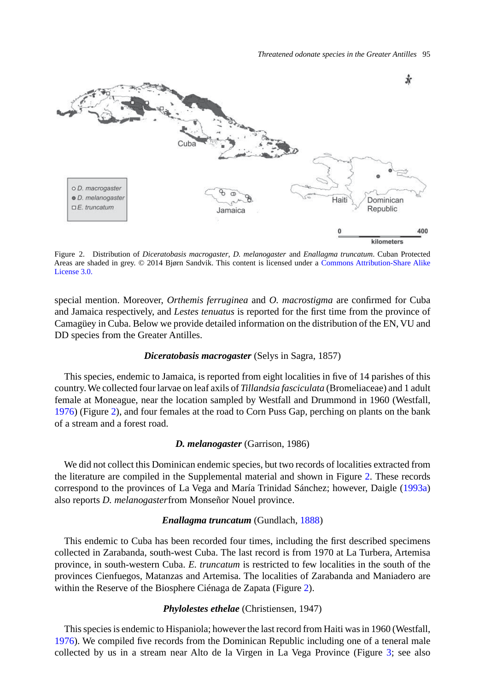

Figure 2. Distribution of *Diceratobasis macrogaster*, *D. melanogaster* and *Enallagma truncatum*. Cuban Protected Areas are shaded in grey. © 2014 Bjørn Sandvik. This content is licensed under a [Commons Attribution-Share Alike](http://creativecommons.org/licenses/by-sa/3.0/) [License 3.0.](http://creativecommons.org/licenses/by-sa/3.0/)

special mention. Moreover, *Orthemis ferruginea* and *O. macrostigma* are confirmed for Cuba and Jamaica respectively, and *Lestes tenuatus* is reported for the first time from the province of Camagüey in Cuba. Below we provide detailed information on the distribution of the EN, VU and DD species from the Greater Antilles.

#### *Diceratobasis macrogaster* (Selys in Sagra, 1857)

This species, endemic to Jamaica, is reported from eight localities in five of 14 parishes of this country. We collected four larvae on leaf axils of *Tillandsia fasciculata* (Bromeliaceae) and 1 adult female at Moneague, near the location sampled by Westfall and Drummond in 1960 (Westfall, [1976\)](#page-15-0) (Figure 2), and four females at the road to Corn Puss Gap, perching on plants on the bank of a stream and a forest road.

#### *D. melanogaster* (Garrison, 1986)

We did not collect this Dominican endemic species, but two records of localities extracted from the literature are compiled in the Supplemental material and shown in Figure 2. These records correspond to the provinces of La Vega and María Trinidad Sánchez; however, Daigle [\(1993a\)](#page-14-0) also reports *D. melanogaster*from Monseñor Nouel province.

#### *Enallagma truncatum* (Gundlach, [1888\)](#page-14-0)

This endemic to Cuba has been recorded four times, including the first described specimens collected in Zarabanda, south-west Cuba. The last record is from 1970 at La Turbera, Artemisa province, in south-western Cuba. *E. truncatum* is restricted to few localities in the south of the provinces Cienfuegos, Matanzas and Artemisa. The localities of Zarabanda and Maniadero are within the Reserve of the Biosphere Ciénaga de Zapata (Figure 2).

#### *Phylolestes ethelae* (Christiensen, 1947)

This species is endemic to Hispaniola; however the last record from Haiti was in 1960 (Westfall, [1976\)](#page-15-0). We compiled five records from the Dominican Republic including one of a teneral male collected by us in a stream near Alto de la Virgen in La Vega Province (Figure [3;](#page-7-0) see also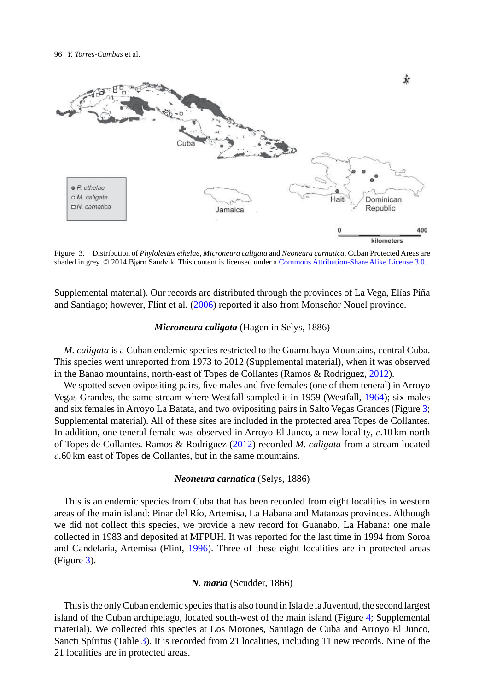<span id="page-7-0"></span>

Figure 3. Distribution of *Phylolestes ethelae*, *Microneura caligata* and *Neoneura carnatica*. Cuban Protected Areas are shaded in grey. © 2014 Bjørn Sandvik. This content is licensed under a [Commons Attribution-Share Alike License 3.0.](http://creativecommons.org/licenses/by-sa/3.0/)

Supplemental material). Our records are distributed through the provinces of La Vega, Elías Piña and Santiago; however, Flint et al. [\(2006\)](#page-14-0) reported it also from Monseñor Nouel province.

#### *Microneura caligata* (Hagen in Selys, 1886)

*M. caligata* is a Cuban endemic species restricted to the Guamuhaya Mountains, central Cuba. This species went unreported from 1973 to 2012 (Supplemental material), when it was observed in the Banao mountains, north-east of Topes de Collantes (Ramos & Rodríguez, [2012\)](#page-14-0).

We spotted seven ovipositing pairs, five males and five females (one of them teneral) in Arroyo Vegas Grandes, the same stream where Westfall sampled it in 1959 (Westfall, [1964\)](#page-15-0); six males and six females in Arroyo La Batata, and two ovipositing pairs in Salto Vegas Grandes (Figure 3; Supplemental material). All of these sites are included in the protected area Topes de Collantes. In addition, one teneral female was observed in Arroyo El Junco, a new locality, *c*.10 km north of Topes de Collantes. Ramos & Rodriguez [\(2012\)](#page-14-0) recorded *M. caligata* from a stream located *c*.60 km east of Topes de Collantes, but in the same mountains.

#### *Neoneura carnatica* (Selys, 1886)

This is an endemic species from Cuba that has been recorded from eight localities in western areas of the main island: Pinar del Río, Artemisa, La Habana and Matanzas provinces. Although we did not collect this species, we provide a new record for Guanabo, La Habana: one male collected in 1983 and deposited at MFPUH. It was reported for the last time in 1994 from Soroa and Candelaria, Artemisa (Flint, [1996\)](#page-14-0). Three of these eight localities are in protected areas (Figure 3).

#### *N. maria* (Scudder, 1866)

This is the only Cuban endemic species that is also found in Isla de la Juventud, the second largest island of the Cuban archipelago, located south-west of the main island (Figure [4;](#page-8-0) Supplemental material). We collected this species at Los Morones, Santiago de Cuba and Arroyo El Junco, Sancti Spíritus (Table [3\)](#page-4-0). It is recorded from 21 localities, including 11 new records. Nine of the 21 localities are in protected areas.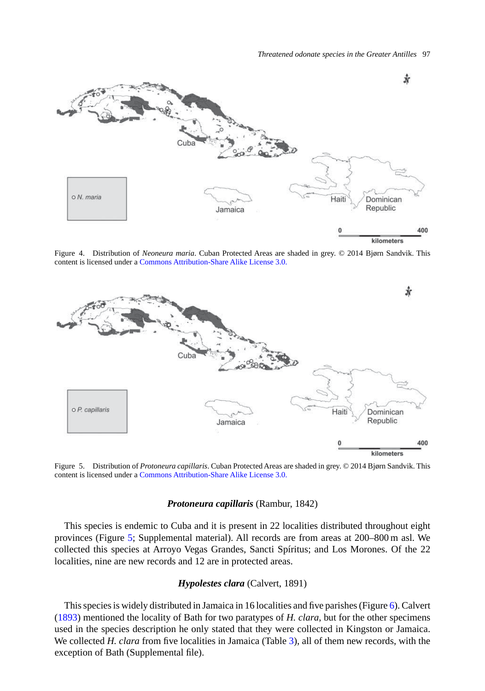<span id="page-8-0"></span>

Figure 4. Distribution of *Neoneura maria*. Cuban Protected Areas are shaded in grey. © 2014 Bjørn Sandvik. This content is licensed under a [Commons Attribution-Share Alike License 3.0.](http://creativecommons.org/licenses/by-sa/3.0/)



Figure 5. Distribution of *Protoneura capillaris*. Cuban Protected Areas are shaded in grey. © 2014 Bjørn Sandvik. This content is licensed under a [Commons Attribution-Share Alike License 3.0.](http://creativecommons.org/licenses/by-sa/3.0/)

#### *Protoneura capillaris* (Rambur, 1842)

This species is endemic to Cuba and it is present in 22 localities distributed throughout eight provinces (Figure 5; Supplemental material). All records are from areas at 200–800 m asl. We collected this species at Arroyo Vegas Grandes, Sancti Spíritus; and Los Morones. Of the 22 localities, nine are new records and 12 are in protected areas.

#### *Hypolestes clara* (Calvert, 1891)

This species is widely distributed in Jamaica in 16 localities and five parishes (Figure [6\)](#page-9-0). Calvert [\(1893\)](#page-13-0) mentioned the locality of Bath for two paratypes of *H. clara*, but for the other specimens used in the species description he only stated that they were collected in Kingston or Jamaica. We collected *H. clara* from five localities in Jamaica (Table [3\)](#page-4-0), all of them new records, with the exception of Bath (Supplemental file).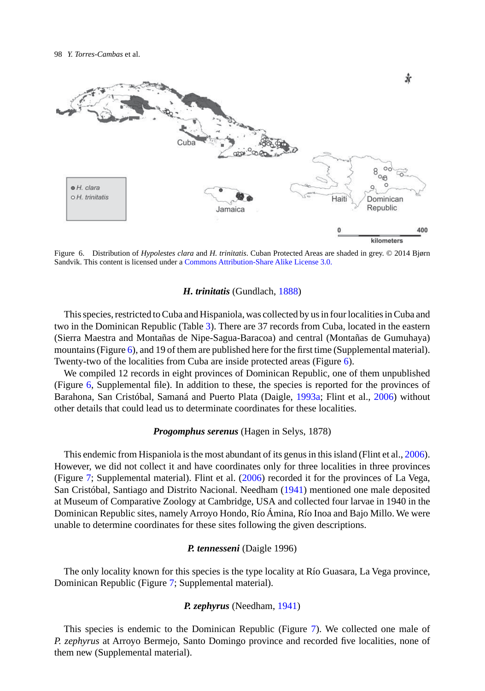<span id="page-9-0"></span>

Figure 6. Distribution of *Hypolestes clara* and *H. trinitatis*. Cuban Protected Areas are shaded in grey. © 2014 Bjørn Sandvik. This content is licensed under a [Commons Attribution-Share Alike License 3.0.](http://creativecommons.org/licenses/by-sa/3.0/)

#### *H. trinitatis* (Gundlach, [1888\)](#page-14-0)

This species, restricted to Cuba and Hispaniola, was collected by us in four localities in Cuba and two in the Dominican Republic (Table [3\)](#page-4-0). There are 37 records from Cuba, located in the eastern (Sierra Maestra and Montañas de Nipe-Sagua-Baracoa) and central (Montañas de Gumuhaya) mountains (Figure  $6$ ), and 19 of them are published here for the first time (Supplemental material). Twenty-two of the localities from Cuba are inside protected areas (Figure 6).

We compiled 12 records in eight provinces of Dominican Republic, one of them unpublished (Figure 6, Supplemental file). In addition to these, the species is reported for the provinces of Barahona, San Cristóbal, Samaná and Puerto Plata (Daigle, [1993a;](#page-14-0) Flint et al., [2006\)](#page-14-0) without other details that could lead us to determinate coordinates for these localities.

#### *Progomphus serenus* (Hagen in Selys, 1878)

This endemic from Hispaniola is the most abundant of its genus in this island (Flint et al., [2006\)](#page-14-0). However, we did not collect it and have coordinates only for three localities in three provinces (Figure [7;](#page-10-0) Supplemental material). Flint et al. [\(2006\)](#page-14-0) recorded it for the provinces of La Vega, San Cristóbal, Santiago and Distrito Nacional. Needham [\(1941\)](#page-14-0) mentioned one male deposited at Museum of Comparative Zoology at Cambridge, USA and collected four larvae in 1940 in the Dominican Republic sites, namely Arroyo Hondo, Río Ámina, Río Inoa and Bajo Millo. We were unable to determine coordinates for these sites following the given descriptions.

#### *P. tennesseni* (Daigle 1996)

The only locality known for this species is the type locality at Río Guasara, La Vega province, Dominican Republic (Figure [7;](#page-10-0) Supplemental material).

#### *P. zephyrus* (Needham, [1941\)](#page-14-0)

This species is endemic to the Dominican Republic (Figure [7\)](#page-10-0). We collected one male of *P. zephyrus* at Arroyo Bermejo, Santo Domingo province and recorded five localities, none of them new (Supplemental material).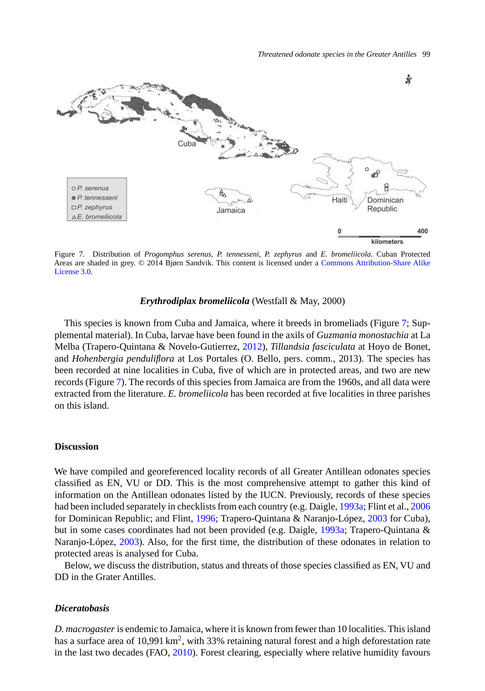<span id="page-10-0"></span>

Figure 7. Distribution of *Progomphus serenus*, *P. tennesseni*, *P. zephyrus* and *E. bromeliicola*. Cuban Protected Areas are shaded in grey. © 2014 Bjørn Sandvik. This content is licensed under a [Commons Attribution-Share Alike](http://creativecommons.org/licenses/by-sa/3.0/) [License 3.0.](http://creativecommons.org/licenses/by-sa/3.0/)

#### *Erythrodiplax bromeliicola* (Westfall & May, 2000)

This species is known from Cuba and Jamaica, where it breeds in bromeliads (Figure 7; Supplemental material). In Cuba, larvae have been found in the axils of *Guzmania monostachia* at La Melba (Trapero-Quintana & Novelo-Gutierrez, [2012\)](#page-15-0), *Tillandsia fasciculata* at Hoyo de Bonet, and *Hohenbergia penduliflora* at Los Portales (O. Bello, pers. comm., 2013). The species has been recorded at nine localities in Cuba, five of which are in protected areas, and two are new records (Figure 7). The records of this species from Jamaica are from the 1960s, and all data were extracted from the literature. *E. bromeliicola* has been recorded at five localities in three parishes on this island.

#### **Discussion**

We have compiled and georeferenced locality records of all Greater Antillean odonates species classified as EN, VU or DD. This is the most comprehensive attempt to gather this kind of information on the Antillean odonates listed by the IUCN. Previously, records of these species had been included separately in checklists from each country (e.g. Daigle, [1993a;](#page-14-0) Flint et al., [2006](#page-14-0) for Dominican Republic; and Flint, [1996;](#page-14-0) Trapero-Quintana & Naranjo-López, [2003](#page-15-0) for Cuba), but in some cases coordinates had not been provided (e.g. Daigle, [1993a;](#page-14-0) Trapero-Quintana & Naranjo-López, [2003\)](#page-15-0). Also, for the first time, the distribution of these odonates in relation to protected areas is analysed for Cuba.

Below, we discuss the distribution, status and threats of those species classified as EN, VU and DD in the Grater Antilles.

#### *Diceratobasis*

*D. macrogaster* is endemic to Jamaica, where it is known from fewer than 10 localities. This island has a surface area of  $10,991 \text{ km}^2$ , with 33% retaining natural forest and a high deforestation rate in the last two decades (FAO, [2010\)](#page-14-0). Forest clearing, especially where relative humidity favours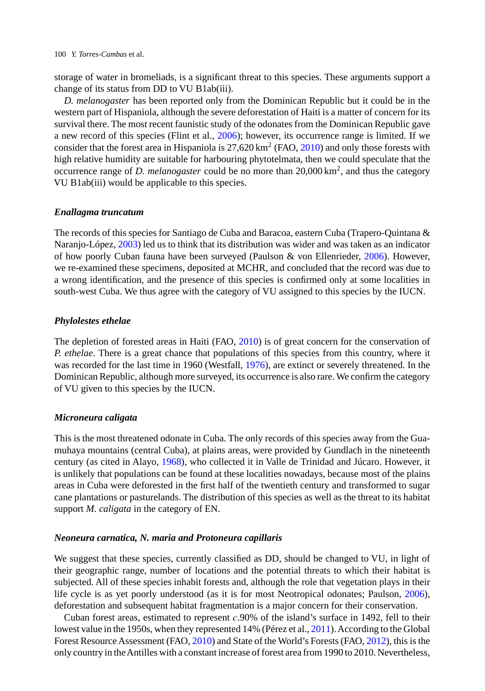storage of water in bromeliads, is a significant threat to this species. These arguments support a change of its status from DD to VU B1ab(iii).

*D. melanogaster* has been reported only from the Dominican Republic but it could be in the western part of Hispaniola, although the severe deforestation of Haiti is a matter of concern for its survival there. The most recent faunistic study of the odonates from the Dominican Republic gave a new record of this species (Flint et al., [2006\)](#page-14-0); however, its occurrence range is limited. If we consider that the forest area in Hispaniola is 27,620 km<sup>2</sup> (FAO, [2010\)](#page-14-0) and only those forests with high relative humidity are suitable for harbouring phytotelmata, then we could speculate that the occurrence range of *D. melanogaster* could be no more than 20,000 km<sup>2</sup>, and thus the category VU B1ab(iii) would be applicable to this species.

#### *Enallagma truncatum*

The records of this species for Santiago de Cuba and Baracoa, eastern Cuba (Trapero-Quintana & Naranjo-López, [2003\)](#page-15-0) led us to think that its distribution was wider and was taken as an indicator of how poorly Cuban fauna have been surveyed (Paulson & von Ellenrieder, [2006\)](#page-14-0). However, we re-examined these specimens, deposited at MCHR, and concluded that the record was due to a wrong identification, and the presence of this species is confirmed only at some localities in south-west Cuba. We thus agree with the category of VU assigned to this species by the IUCN.

#### *Phylolestes ethelae*

The depletion of forested areas in Haiti (FAO, [2010\)](#page-14-0) is of great concern for the conservation of *P. ethelae*. There is a great chance that populations of this species from this country, where it was recorded for the last time in 1960 (Westfall, [1976\)](#page-15-0), are extinct or severely threatened. In the Dominican Republic, although more surveyed, its occurrence is also rare. We confirm the category of VU given to this species by the IUCN.

#### *Microneura caligata*

This is the most threatened odonate in Cuba. The only records of this species away from the Guamuhaya mountains (central Cuba), at plains areas, were provided by Gundlach in the nineteenth century (as cited in Alayo, [1968\)](#page-13-0), who collected it in Valle de Trinidad and Júcaro. However, it is unlikely that populations can be found at these localities nowadays, because most of the plains areas in Cuba were deforested in the first half of the twentieth century and transformed to sugar cane plantations or pasturelands. The distribution of this species as well as the threat to its habitat support *M. caligata* in the category of EN.

#### *Neoneura carnatica, N. maria and Protoneura capillaris*

We suggest that these species, currently classified as DD, should be changed to VU, in light of their geographic range, number of locations and the potential threats to which their habitat is subjected. All of these species inhabit forests and, although the role that vegetation plays in their life cycle is as yet poorly understood (as it is for most Neotropical odonates; Paulson, [2006\)](#page-14-0), deforestation and subsequent habitat fragmentation is a major concern for their conservation.

Cuban forest areas, estimated to represent *c*.90% of the island's surface in 1492, fell to their lowest value in the 1950s, when they represented 14% (Pérez et al., [2011\)](#page-14-0). According to the Global Forest Resource Assessment (FAO, [2010\)](#page-14-0) and State of the World's Forests (FAO, [2012\)](#page-14-0), this is the only country in theAntilles with a constant increase of forest area from 1990 to 2010. Nevertheless,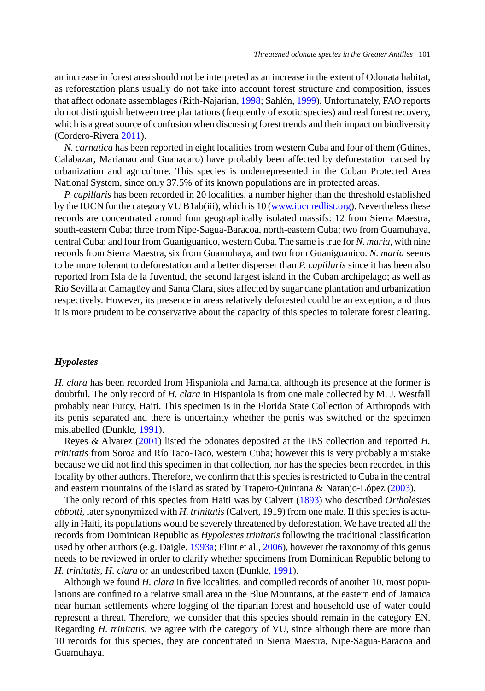an increase in forest area should not be interpreted as an increase in the extent of Odonata habitat, as reforestation plans usually do not take into account forest structure and composition, issues that affect odonate assemblages (Rith-Najarian, [1998;](#page-14-0) Sahlén, [1999\)](#page-14-0). Unfortunately, FAO reports do not distinguish between tree plantations (frequently of exotic species) and real forest recovery, which is a great source of confusion when discussing forest trends and their impact on biodiversity (Cordero-Rivera [2011\)](#page-14-0).

*N. carnatica* has been reported in eight localities from western Cuba and four of them (Güines, Calabazar, Marianao and Guanacaro) have probably been affected by deforestation caused by urbanization and agriculture. This species is underrepresented in the Cuban Protected Area National System, since only 37.5% of its known populations are in protected areas.

*P. capillaris* has been recorded in 20 localities, a number higher than the threshold established by the IUCN for the category VU B1ab(iii), which is 10 [\(www.iucnredlist.org\)](file:www.iucnredlist.org). Nevertheless these records are concentrated around four geographically isolated massifs: 12 from Sierra Maestra, south-eastern Cuba; three from Nipe-Sagua-Baracoa, north-eastern Cuba; two from Guamuhaya, central Cuba; and four from Guaniguanico, western Cuba. The same is true for *N. maria*, with nine records from Sierra Maestra, six from Guamuhaya, and two from Guaniguanico. *N. maria* seems to be more tolerant to deforestation and a better disperser than *P. capillaris* since it has been also reported from Isla de la Juventud, the second largest island in the Cuban archipelago; as well as Río Sevilla at Camagüey and Santa Clara, sites affected by sugar cane plantation and urbanization respectively. However, its presence in areas relatively deforested could be an exception, and thus it is more prudent to be conservative about the capacity of this species to tolerate forest clearing.

#### *Hypolestes*

*H. clara* has been recorded from Hispaniola and Jamaica, although its presence at the former is doubtful. The only record of *H. clara* in Hispaniola is from one male collected by M. J. Westfall probably near Furcy, Haiti. This specimen is in the Florida State Collection of Arthropods with its penis separated and there is uncertainty whether the penis was switched or the specimen mislabelled (Dunkle, [1991\)](#page-14-0).

Reyes & Alvarez [\(2001\)](#page-14-0) listed the odonates deposited at the IES collection and reported *H. trinitatis* from Soroa and Río Taco-Taco, western Cuba; however this is very probably a mistake because we did not find this specimen in that collection, nor has the species been recorded in this locality by other authors. Therefore, we confirm that this species is restricted to Cuba in the central and eastern mountains of the island as stated by Trapero-Quintana & Naranjo-López [\(2003\)](#page-15-0).

The only record of this species from Haiti was by Calvert [\(1893\)](#page-13-0) who described *Ortholestes abbotti*, later synonymized with *H. trinitatis* (Calvert, 1919) from one male. If this species is actually in Haiti, its populations would be severely threatened by deforestation. We have treated all the records from Dominican Republic as *Hypolestes trinitatis* following the traditional classification used by other authors (e.g. Daigle, [1993a;](#page-14-0) Flint et al., [2006\)](#page-14-0), however the taxonomy of this genus needs to be reviewed in order to clarify whether specimens from Dominican Republic belong to *H. trinitatis*, *H. clara* or an undescribed taxon (Dunkle, [1991\)](#page-14-0).

Although we found *H. clara* in five localities, and compiled records of another 10, most populations are confined to a relative small area in the Blue Mountains, at the eastern end of Jamaica near human settlements where logging of the riparian forest and household use of water could represent a threat. Therefore, we consider that this species should remain in the category EN. Regarding *H. trinitatis*, we agree with the category of VU, since although there are more than 10 records for this species, they are concentrated in Sierra Maestra, Nipe-Sagua-Baracoa and Guamuhaya.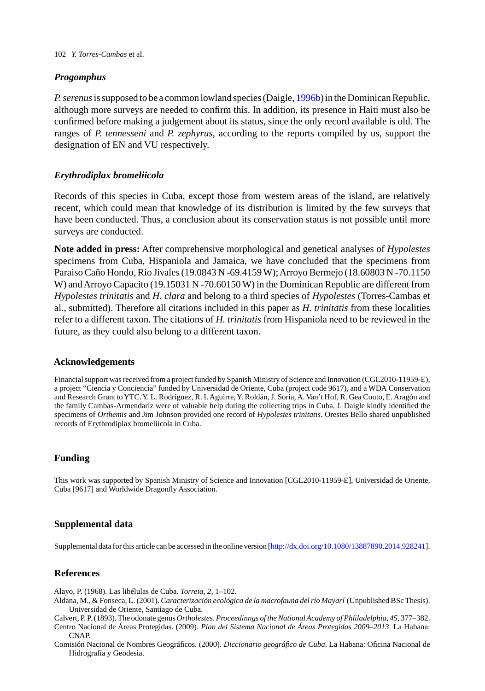# <span id="page-13-0"></span>*Progomphus*

*P. serenus*is supposed to be a common lowland species (Daigle, [1996b\)](#page-14-0) in the Dominican Republic, although more surveys are needed to confirm this. In addition, its presence in Haiti must also be confirmed before making a judgement about its status, since the only record available is old. The ranges of *P. tennesseni* and *P. zephyrus*, according to the reports compiled by us, support the designation of EN and VU respectively.

# *Erythrodiplax bromeliicola*

Records of this species in Cuba, except those from western areas of the island, are relatively recent, which could mean that knowledge of its distribution is limited by the few surveys that have been conducted. Thus, a conclusion about its conservation status is not possible until more surveys are conducted.

**Note added in press:** After comprehensive morphological and genetical analyses of *Hypolestes* specimens from Cuba, Hispaniola and Jamaica, we have concluded that the specimens from Paraiso Caño Hondo, Río Jivales (19.0843 N -69.4159 W);Arroyo Bermejo (18.60803 N -70.1150 W) and Arroyo Capacito (19.15031 N - 70.60150 W) in the Dominican Republic are different from *Hypolestes trinitatis* and *H. clara* and belong to a third species of *Hypolestes* (Torres-Cambas et al., submitted). Therefore all citations included in this paper as *H. trinitatis* from these localities refer to a different taxon. The citations of *H. trinitatis* from Hispaniola need to be reviewed in the future, as they could also belong to a different taxon.

# **Acknowledgements**

Financial support was received from a project funded by Spanish Ministry of Science and Innovation (CGL2010-11959-E), a project "Ciencia y Conciencia" funded by Universidad de Oriente, Cuba (project code 9617), and a WDA Conservation and Research Grant toYTC.Y. L. Rodríguez, R. I. Aguirre,Y. Roldán, J. Soria, A. Van't Hof, R. Gea Couto, E. Aragón and the family Cambas-Armendariz were of valuable help during the collecting trips in Cuba. J. Daigle kindly identified the specimens of *Orthemis* and Jim Johnson provided one record of *Hypolestes trinitatis*. Orestes Bello shared unpublished records of Erythrodiplax bromeliicola in Cuba.

# **Funding**

This work was supported by Spanish Ministry of Science and Innovation [CGL2010-11959-E], Universidad de Oriente, Cuba [9617] and Worldwide Dragonfly Association.

# **Supplemental data**

Supplemental data for this article can be accessed in the online version [\[http://dx.doi.org/10.1080/13887890.2014.928241\]](http://dx.doi.org/10.1080/13887890.2014.928241).

# **References**

Alayo, P. (1968). Las libélulas de Cuba. *Torreia, 2*, 1–102.

- Aldana, M., & Fonseca, L. (2001). *Caracterización ecológica de la macrofauna del río Mayarí* (Unpublished BSc Thesis). Universidad de Oriente, Santiago de Cuba.
- Calvert, P. P. (1893). The odonate genus *Ortholestes*. *Proceedinngs of the National Academy of Phliladelphia, 45*, 377–382. Centro Nacional de Áreas Protegidas. (2009). *Plan del Sistema Nacional de Áreas Protegidas 2009–2013*. La Habana: **CNAP**
- Comisión Nacional de Nombres Geográficos. (2000). *Diccionario geográfico de Cuba*. La Habana: Oficina Nacional de Hidrografía y Geodesia.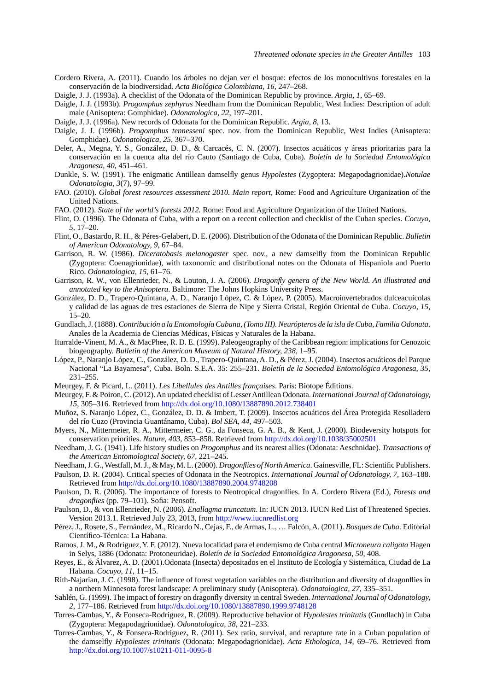- <span id="page-14-0"></span>Cordero Rivera, A. (2011). Cuando los árboles no dejan ver el bosque: efectos de los monocultivos forestales en la conservación de la biodiversidad. *Acta Biológica Colombiana, 16*, 247–268.
- Daigle, J. J. (1993a). A checklist of the Odonata of the Dominican Republic by province. *Argia, 1*, 65–69.
- Daigle, J. J. (1993b). *Progomphus zephyrus* Needham from the Dominican Republic, West Indies: Description of adult male (Anisoptera: Gomphidae). *Odonatologica, 22*, 197–201.
- Daigle, J. J. (1996a). New records of Odonata for the Dominican Republic. *Argia, 8*, 13.
- Daigle, J. J. (1996b). *Progomphus tennesseni* spec. nov. from the Dominican Republic, West Indies (Anisoptera: Gomphidae). *Odonatologica, 25*, 367–370.
- Deler, A., Megna, Y. S., González, D. D., & Carcacés, C. N. (2007). Insectos acuáticos y áreas prioritarias para la conservación en la cuenca alta del río Cauto (Santiago de Cuba, Cuba). *Boletín de la Sociedad Entomológica Aragonesa, 40*, 451–461.
- Dunkle, S. W. (1991). The enigmatic Antillean damselfly genus *Hypolestes* (Zygoptera: Megapodagrionidae).*Notulae Odonatologia, 3*(7), 97–99.
- FAO. (2010). *Global forest resources assessment 2010. Main report*, Rome: Food and Agriculture Organization of the United Nations.
- FAO. (2012). *State of the world's forests 2012.* Rome: Food and Agriculture Organization of the United Nations.
- Flint, O. (1996). The Odonata of Cuba, with a report on a recent collection and checklist of the Cuban species. *Cocuyo, 5*, 17–20.
- Flint, O., Bastardo, R. H., & Péres-Gelabert, D. E. (2006). Distribution of the Odonata of the Dominican Republic. *Bulletin of American Odonatology, 9*, 67–84.
- Garrison, R. W. (1986). *Diceratobasis melanogaster* spec. nov., a new damselfly from the Dominican Republic (Zygoptera: Coenagrionidae), with taxonomic and distributional notes on the Odonata of Hispaniola and Puerto Rico. *Odonatologica, 15*, 61–76.
- Garrison, R. W., von Ellenrieder, N., & Louton, J. A. (2006). *Dragonfly genera of the New World. An illustrated and annotated key to the Anisoptera*. Baltimore: The Johns Hopkins University Press.
- González, D. D., Trapero-Quintana, A. D., Naranjo López, C. & López, P. (2005). Macroinvertebrados dulceacuícolas y calidad de las aguas de tres estaciones de Sierra de Nipe y Sierra Cristal, Región Oriental de Cuba. *Cocuyo, 15*, 15–20.
- Gundlach, J. (1888).*Contribución a la Entomología Cubana, (Tomo III). Neurópteros de la isla de Cuba, Familia Odonata*. Anales de la Academia de Ciencias Médicas, Físicas y Naturales de la Habana.
- Iturralde-Vinent, M. A., & MacPhee, R. D. E. (1999). Paleogeography of the Caribbean region: implications for Cenozoic biogeography. *Bulletin of the American Museum of Natural History, 238*, 1–95.
- López, P., Naranjo López, C., González, D. D., Trapero-Quintana, A. D., & Pérez, J. (2004). Insectos acuáticos del Parque Nacional "La Bayamesa", Cuba. Boln. S.E.A. 35: 255–231. *Boletín de la Sociedad Entomológica Aragonesa, 35*, 231–255.
- Meurgey, F. & Picard, L. (2011). *Les Libellules des Antilles françaises*. Paris: Biotope Éditions.
- Meurgey, F. & Poiron, C. (2012).An updated checklist of LesserAntillean Odonata. *International Journal of Odonatology, 15*, 305–316. Retrieved from <http://dx.doi.org/10.1080/13887890.2012.738401>
- Muñoz, S. Naranjo López, C., González, D. D. & Imbert, T. (2009). Insectos acuáticos del Área Protegida Resolladero del río Cuzo (Provincia Guantánamo, Cuba). *Bol SEA, 44*, 497–503.
- Myers, N., Mittermeier, R. A., Mittermeier, C. G., da Fonseca, G. A. B., & Kent, J. (2000). Biodeversity hotspots for conservation priorities. *Nature, 403*, 853–858. Retrieved from <http://dx.doi.org/10.1038/35002501>
- Needham, J. G. (1941). Life history studies on *Progomphus* and its nearest allies (Odonata: Aeschnidae). *Transactions of the American Entomological Society, 67*, 221–245.
- Needham, J. G., Westfall, M. J., & May, M. L. (2000). *Dragonflies of North America*. Gainesville, FL: Scientific Publishers.
- Paulson, D. R. (2004). Critical species of Odonata in the Neotropics. *International Journal of Odonatology, 7*, 163–188. Retrieved from <http://dx.doi.org/10.1080/13887890.2004.9748208>
- Paulson, D. R. (2006). The importance of forests to Neotropical dragonflies. In A. Cordero Rivera (Ed.), *Forests and dragonflies* (pp. 79–101). Sofia: Pensoft.
- Paulson, D., & von Ellenrieder, N. (2006). *Enallagma truncatum*. In: IUCN 2013. IUCN Red List of Threatened Species. Version 2013.1. Retrieved July 23, 2013, from <http://www.iucnredlist.org>
- Pérez, J., Rosete, S., Fernández, M., Ricardo N., Cejas, F., de Armas, L., … Falcón, A. (2011). *Bosques de Cuba*. Editorial Científico-Técnica: La Habana.
- Ramos, J. M., & Rodríguez,Y. F. (2012). Nueva localidad para el endemismo de Cuba central *Microneura caligata* Hagen in Selys, 1886 (Odonata: Protoneuridae). *Boletín de la Sociedad Entomológica Aragonesa, 50*, 408.
- Reyes, E., & Álvarez, A. D. (2001).Odonata (Insecta) depositados en el Instituto de Ecología y Sistemática, Ciudad de La Habana. *Cocuyo, 11*, 11–15.
- Rith-Najarian, J. C. (1998). The influence of forest vegetation variables on the distribution and diversity of dragonflies in a northern Minnesota forest landscape: A preliminary study (Anisoptera). *Odonatologica, 27*, 335–351.
- Sahlén, G. (1999). The impact of forestry on dragonfly diversity in central Sweden. *International Journal of Odonatology, 2*, 177–186. Retrieved from <http://dx.doi.org/10.1080/13887890.1999.9748128>
- Torres-Cambas, Y., & Fonseca-Rodríguez, R. (2009). Reproductive behavior of *Hypolestes trinitatis* (Gundlach) in Cuba (Zygoptera: Megapodagrionidae). *Odonatologica, 38*, 221–233.
- Torres-Cambas, Y., & Fonseca-Rodríguez, R. (2011). Sex ratio, survival, and recapture rate in a Cuban population of the damselfly *Hypolestes trinitatis* (Odonata: Megapodagrionidae). *Acta Ethologica, 14*, 69–76. Retrieved from <http://dx.doi.org/10.1007/s10211-011-0095-8>